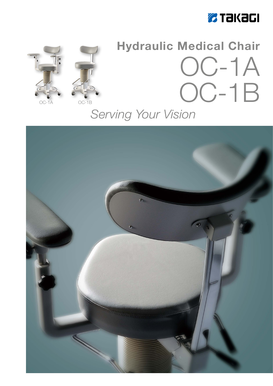



# **Hydraulic Medical Chair** OC-1A OC-1B

## Serving Your Vision